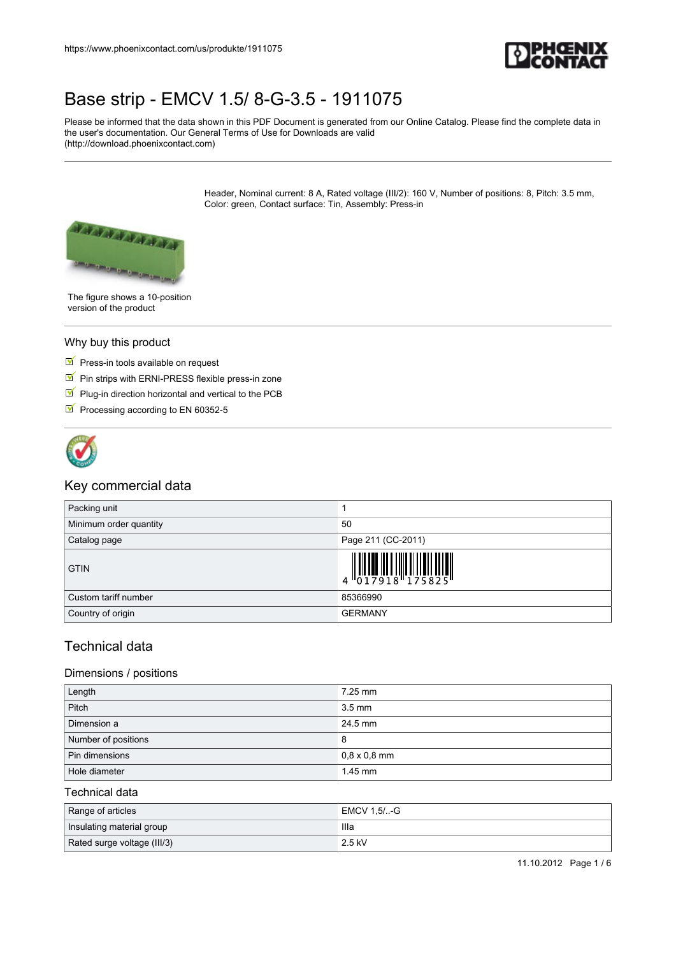

Please be informed that the data shown in this PDF Document is generated from our Online Catalog. Please find the complete data in the user's documentation. Our General Terms of Use for Downloads are valid (http://download.phoenixcontact.com)

> Header, Nominal current: 8 A, Rated voltage (III/2): 160 V, Number of positions: 8, Pitch: 3.5 mm, Color: green, Contact surface: Tin, Assembly: Press-in



The figure shows a 10-position version of the product

#### Why buy this product

- $\blacksquare$  Press-in tools available on request
- Pin strips with ERNI-PRESS flexible press-in zone
- $\Psi$  Plug-in direction horizontal and vertical to the PCB
- Processing according to EN 60352-5



#### Key commercial data

| Packing unit           |                                                                                                                                                                                                                                                                                                                                                                                                                                                                                       |
|------------------------|---------------------------------------------------------------------------------------------------------------------------------------------------------------------------------------------------------------------------------------------------------------------------------------------------------------------------------------------------------------------------------------------------------------------------------------------------------------------------------------|
| Minimum order quantity | 50                                                                                                                                                                                                                                                                                                                                                                                                                                                                                    |
| Catalog page           | Page 211 (CC-2011)                                                                                                                                                                                                                                                                                                                                                                                                                                                                    |
| <b>GTIN</b>            | $\left\  \begin{matrix} 1 \\ 0 \\ 1 \end{matrix} \right\ _2 \left\  \begin{matrix} 1 \\ 0 \\ 1 \end{matrix} \right\ _2 \left\  \begin{matrix} 1 \\ 0 \\ 1 \end{matrix} \right\ _2 \left\  \begin{matrix} 1 \\ 0 \\ 1 \end{matrix} \right\ _2 \left\  \begin{matrix} 1 \\ 0 \\ 1 \end{matrix} \right\ _2 \left\  \begin{matrix} 1 \\ 0 \\ 1 \end{matrix} \right\ _2 \left\  \begin{matrix} 1 \\ 0 \\ 0 \end{matrix} \right\ _2 \left\  \begin{matrix} 1 \\ 0 \\ 0 \end{matrix} \right$ |
| Custom tariff number   | 85366990                                                                                                                                                                                                                                                                                                                                                                                                                                                                              |
| Country of origin      | <b>GERMANY</b>                                                                                                                                                                                                                                                                                                                                                                                                                                                                        |

#### Technical data

#### Dimensions / positions

| Length              | 7.25 mm             |
|---------------------|---------------------|
| Pitch               | $3.5 \text{ mm}$    |
| Dimension a         | 24.5 mm             |
| Number of positions | 8                   |
| Pin dimensions      | $0,8 \times 0,8$ mm |
| Hole diameter       | $1.45$ mm           |

#### Technical data

| Range of articles           | EMCV 1,5/-G |
|-----------------------------|-------------|
| Insulating material group   | llla        |
| Rated surge voltage (III/3) | 2.5 kV      |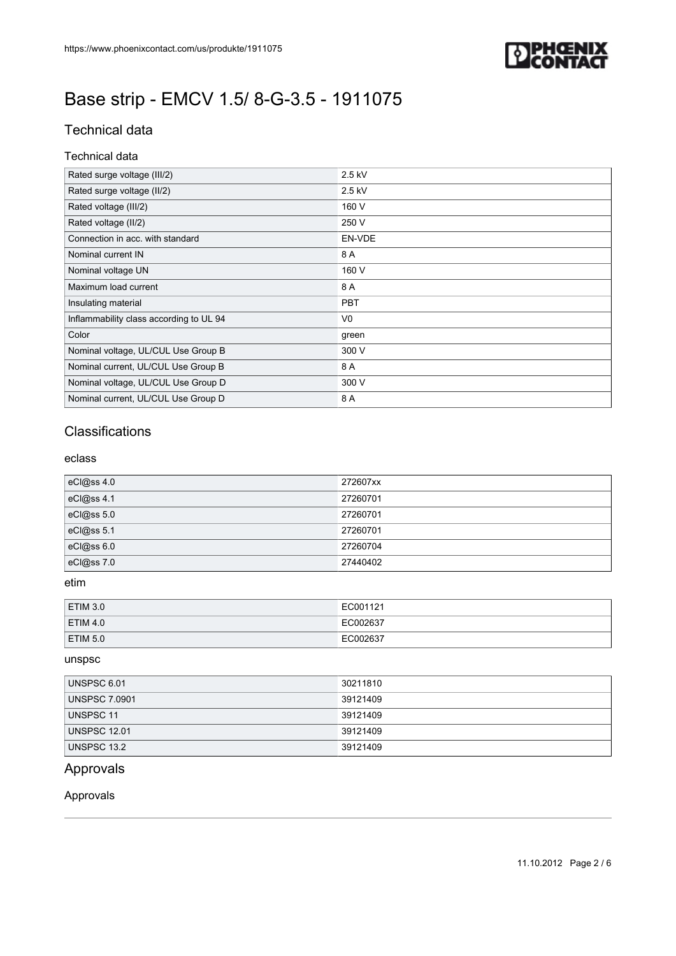

### Technical data

#### Technical data

| Rated surge voltage (III/2)             | 2.5 kV         |
|-----------------------------------------|----------------|
| Rated surge voltage (II/2)              | 2.5 kV         |
| Rated voltage (III/2)                   | 160 V          |
| Rated voltage (II/2)                    | 250 V          |
| Connection in acc. with standard        | EN-VDE         |
| Nominal current IN                      | 8 A            |
| Nominal voltage UN                      | 160 V          |
| Maximum load current                    | 8 A            |
| Insulating material                     | <b>PBT</b>     |
| Inflammability class according to UL 94 | V <sub>0</sub> |
| Color                                   | green          |
| Nominal voltage, UL/CUL Use Group B     | 300 V          |
| Nominal current, UL/CUL Use Group B     | 8 A            |
| Nominal voltage, UL/CUL Use Group D     | 300 V          |
| Nominal current, UL/CUL Use Group D     | 8 A            |

### **Classifications**

#### eclass

| eCl@ss 4.0 | 272607xx |
|------------|----------|
| eCl@ss 4.1 | 27260701 |
| eCl@ss 5.0 | 27260701 |
| eCl@ss 5.1 | 27260701 |
| eCl@ss 6.0 | 27260704 |
| eCl@ss 7.0 | 27440402 |

#### etim

| <b>ETIM 3.0</b> | EC001121 |
|-----------------|----------|
| <b>ETIM 4.0</b> | EC002637 |
| <b>ETIM 5.0</b> | EC002637 |

#### unspsc

| UNSPSC 6.01          | 30211810 |
|----------------------|----------|
| <b>UNSPSC 7.0901</b> | 39121409 |
| UNSPSC 11            | 39121409 |
| <b>UNSPSC 12.01</b>  | 39121409 |
| UNSPSC 13.2          | 39121409 |

### Approvals

#### Approvals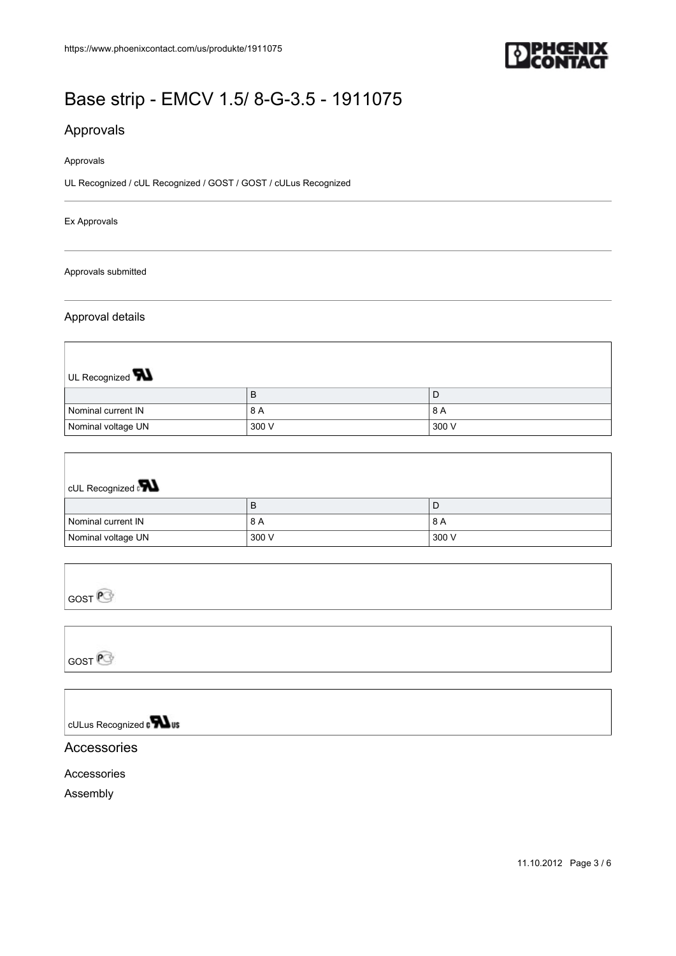

### Approvals

#### Approvals

UL Recognized / cUL Recognized / GOST / GOST / cULus Recognized

#### Ex Approvals

Approvals submitted

#### Approval details

| UL Recognized <b>W</b> |       |       |
|------------------------|-------|-------|
|                        | B     | D     |
| Nominal current IN     | 8 A   | 8 A   |
| Nominal voltage UN     | 300 V | 300 V |

| <b>CUL Recognized</b> |       |       |
|-----------------------|-------|-------|
|                       | В     | D     |
| Nominal current IN    | 8 A   | 8 A   |
| Nominal voltage UN    | 300 V | 300 V |

| $\Box$ T209 |  |  |  |
|-------------|--|--|--|
|             |  |  |  |

GOST<sup>P</sup>

cULus Recognized a **Wus** 

#### Accessories

Accessories

Assembly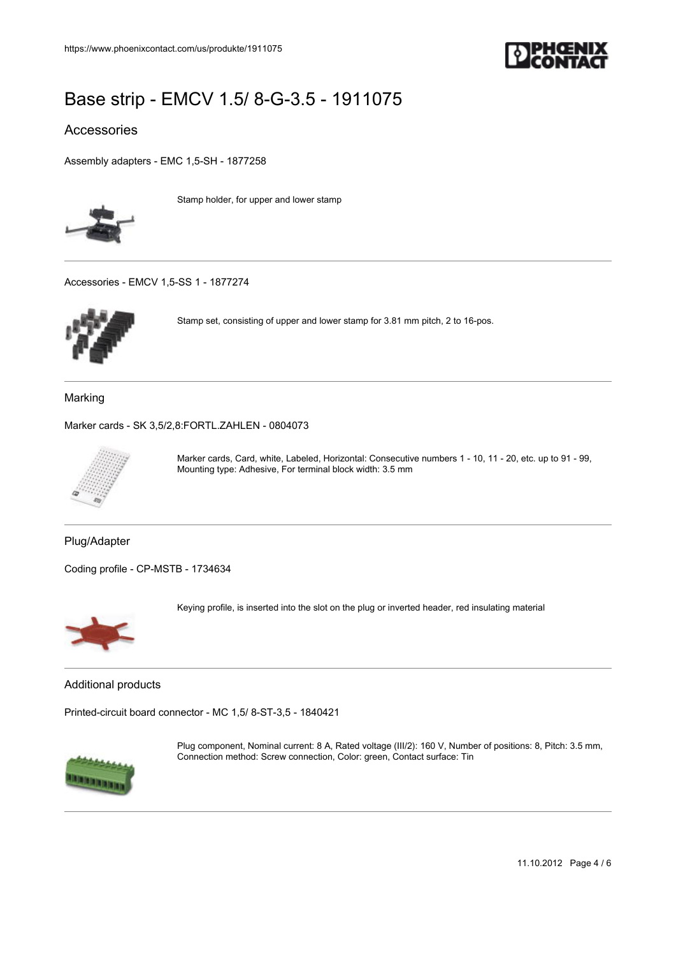

#### Accessories

[Assembly adapters - EMC 1,5-SH - 1877258](https://www.phoenixcontact.com/us/produkte/1877258)



Stamp holder, for upper and lower stamp

[Accessories - EMCV 1,5-SS 1 - 1877274](https://www.phoenixcontact.com/us/produkte/1877274)



Stamp set, consisting of upper and lower stamp for 3.81 mm pitch, 2 to 16-pos.

Marking

[Marker cards - SK 3,5/2,8:FORTL.ZAHLEN - 0804073](https://www.phoenixcontact.com/us/produkte/0804073)



Marker cards, Card, white, Labeled, Horizontal: Consecutive numbers 1 - 10, 11 - 20, etc. up to 91 - 99, Mounting type: Adhesive, For terminal block width: 3.5 mm

Plug/Adapter

[Coding profile - CP-MSTB - 1734634](https://www.phoenixcontact.com/us/produkte/1734634)



Keying profile, is inserted into the slot on the plug or inverted header, red insulating material

Additional products

[Printed-circuit board connector - MC 1,5/ 8-ST-3,5 - 1840421](https://www.phoenixcontact.com/us/produkte/1840421)



Plug component, Nominal current: 8 A, Rated voltage (III/2): 160 V, Number of positions: 8, Pitch: 3.5 mm, Connection method: Screw connection, Color: green, Contact surface: Tin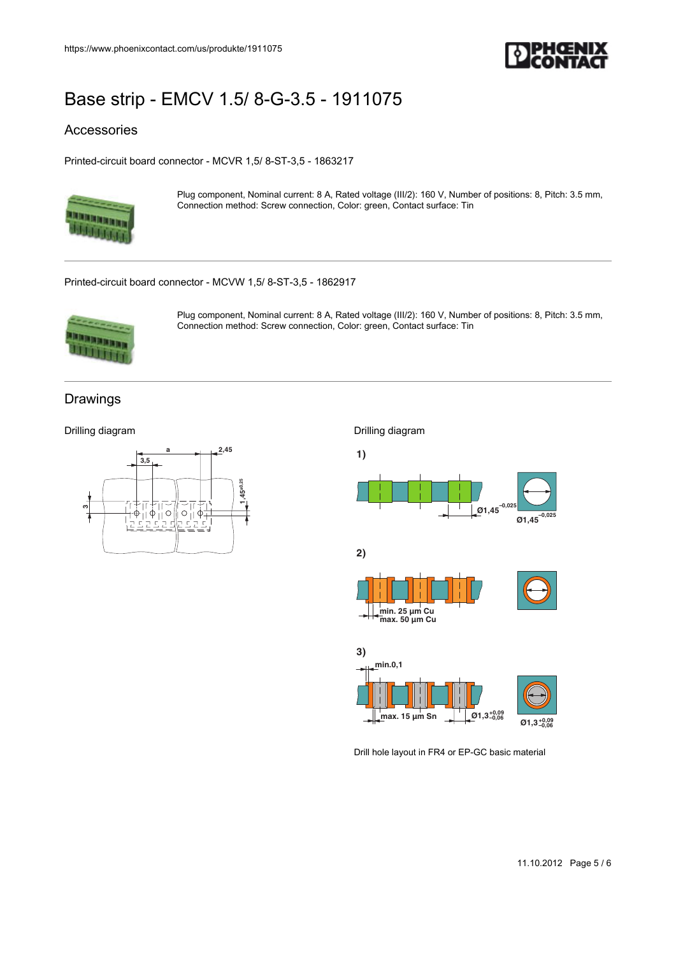

#### Accessories

[Printed-circuit board connector - MCVR 1,5/ 8-ST-3,5 - 1863217](https://www.phoenixcontact.com/us/produkte/1863217)



Plug component, Nominal current: 8 A, Rated voltage (III/2): 160 V, Number of positions: 8, Pitch: 3.5 mm, Connection method: Screw connection, Color: green, Contact surface: Tin

[Printed-circuit board connector - MCVW 1,5/ 8-ST-3,5 - 1862917](https://www.phoenixcontact.com/us/produkte/1862917)



Plug component, Nominal current: 8 A, Rated voltage (III/2): 160 V, Number of positions: 8, Pitch: 3.5 mm, Connection method: Screw connection, Color: green, Contact surface: Tin

#### Drawings

Drilling diagram





Drill hole layout in FR4 or EP-GC basic material